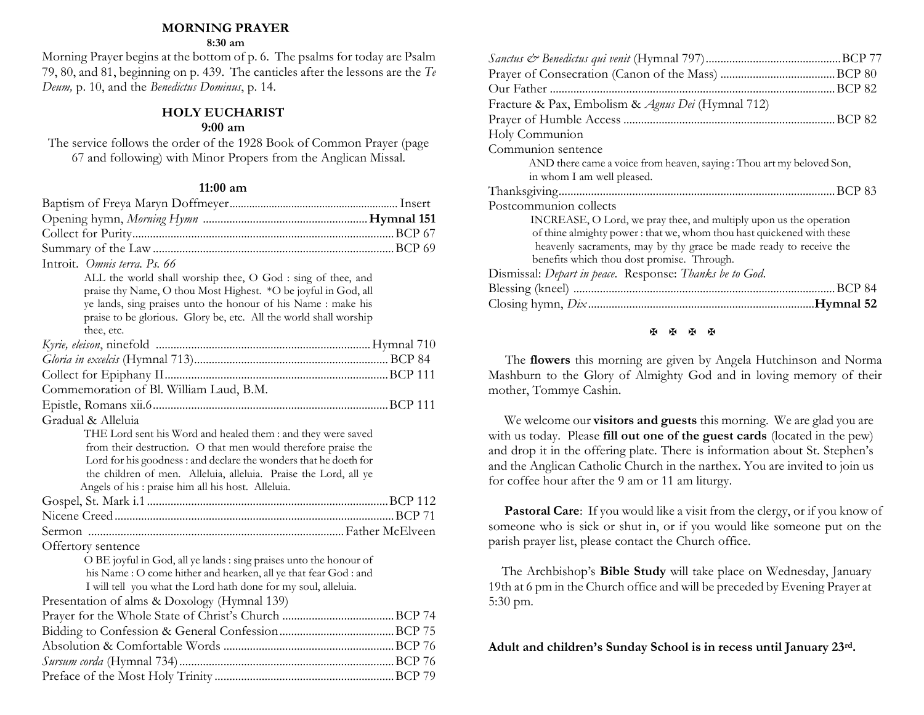#### **MORNING PRAYER**

#### **8:30 am**

Morning Prayer begins at the bottom of p. 6. The psalms for today are Psalm 79, 80, and 81, beginning on p. 439. The canticles after the lessons are the *Te Deum,* p. 10, and the *Benedictus Dominus*, p. 14.

#### **HOLY EUCHARIST**

#### **9:00 am**

The service follows the order of the 1928 Book of Common Prayer (page 67 and following) with Minor Propers from the Anglican Missal.

#### **11:00 am**

| Introit. Omnis terra, Ps. 66                                                             |  |
|------------------------------------------------------------------------------------------|--|
| ALL the world shall worship thee, O God : sing of thee, and                              |  |
| praise thy Name, O thou Most Highest. * O be joyful in God, all                          |  |
| ye lands, sing praises unto the honour of his Name : make his                            |  |
| praise to be glorious. Glory be, etc. All the world shall worship                        |  |
| thee, etc.                                                                               |  |
|                                                                                          |  |
|                                                                                          |  |
|                                                                                          |  |
| Commemoration of Bl. William Laud, B.M.                                                  |  |
|                                                                                          |  |
| Gradual & Alleluia                                                                       |  |
| THE Lord sent his Word and healed them : and they were saved                             |  |
| from their destruction. O that men would therefore praise the                            |  |
| Lord for his goodness : and declare the wonders that he doeth for                        |  |
| the children of men. Alleluia, alleluia. Praise the Lord, all ye                         |  |
| Angels of his : praise him all his host. Alleluia.                                       |  |
|                                                                                          |  |
|                                                                                          |  |
|                                                                                          |  |
| Offertory sentence<br>O BE joyful in God, all ye lands : sing praises unto the honour of |  |
| his Name : O come hither and hearken, all ye that fear God : and                         |  |
| I will tell you what the Lord hath done for my soul, alleluia.                           |  |
| Presentation of alms & Doxology (Hymnal 139)                                             |  |
|                                                                                          |  |
|                                                                                          |  |
|                                                                                          |  |
|                                                                                          |  |
|                                                                                          |  |
|                                                                                          |  |

| Fracture & Pax, Embolism & Agnus Dei (Hymnal 712)                     |  |
|-----------------------------------------------------------------------|--|
|                                                                       |  |
| Holy Communion                                                        |  |
| Communion sentence                                                    |  |
| AND there came a voice from heaven, saying: Thou art my beloved Son,  |  |
| in whom I am well pleased.                                            |  |
|                                                                       |  |
| Postcommunion collects                                                |  |
| INCREASE, O Lord, we pray thee, and multiply upon us the operation    |  |
| of thine almighty power: that we, whom thou hast quickened with these |  |
| heavenly sacraments, may by thy grace be made ready to receive the    |  |
| benefits which thou dost promise. Through.                            |  |
| Dismissal: Depart in peace. Response: Thanks be to God.               |  |
|                                                                       |  |
|                                                                       |  |
|                                                                       |  |

#### **图图图图**

 The **flowers** this morning are given by Angela Hutchinson and Norma Mashburn to the Glory of Almighty God and in loving memory of their mother, Tommye Cashin.

We welcome our **visitors and guests** this morning. We are glad you are with us today. Please **fill out one of the guest cards** (located in the pew) and drop it in the offering plate. There is information about St. Stephen's and the Anglican Catholic Church in the narthex. You are invited to join us for coffee hour after the 9 am or 11 am liturgy.

**Pastoral Care:** If you would like a visit from the clergy, or if you know of someone who is sick or shut in, or if you would like someone put on the parish prayer list, please contact the Church office.

 The Archbishop's **Bible Study** will take place on Wednesday, January 19th at 6 pm in the Church office and will be preceded by Evening Prayer at 5:30 pm.

**Adult and children's Sunday School is in recess until January 23rd.**